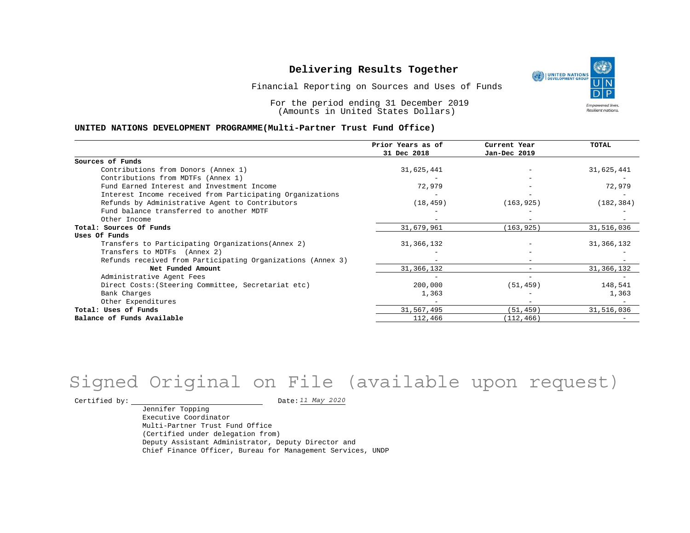Financial Reporting on Sources and Uses of Funds

For the period ending 31 December 2019 (Amounts in United States Dollars)

#### **UNITED NATIONS DEVELOPMENT PROGRAMME(Multi-Partner Trust Fund Office)**

|                                                             | Prior Years as of | Current Year | <b>TOTAL</b> |
|-------------------------------------------------------------|-------------------|--------------|--------------|
|                                                             | 31 Dec 2018       | Jan-Dec 2019 |              |
| Sources of Funds                                            |                   |              |              |
| Contributions from Donors (Annex 1)                         | 31,625,441        |              | 31,625,441   |
| Contributions from MDTFs (Annex 1)                          |                   |              |              |
| Fund Earned Interest and Investment Income                  | 72,979            |              | 72,979       |
| Interest Income received from Participating Organizations   |                   |              |              |
| Refunds by Administrative Agent to Contributors             | (18, 459)         | (163, 925)   | (182, 384)   |
| Fund balance transferred to another MDTF                    |                   |              |              |
| Other Income                                                |                   | -            |              |
| Total: Sources Of Funds                                     | 31,679,961        | (163, 925)   | 31,516,036   |
| Uses Of Funds                                               |                   |              |              |
| Transfers to Participating Organizations (Annex 2)          | 31,366,132        |              | 31, 366, 132 |
| Transfers to MDTFs (Annex 2)                                |                   |              |              |
| Refunds received from Participating Organizations (Annex 3) |                   |              |              |
| Net Funded Amount                                           | 31, 366, 132      |              | 31, 366, 132 |
| Administrative Agent Fees                                   |                   |              |              |
| Direct Costs: (Steering Committee, Secretariat etc)         | 200,000           | (51, 459)    | 148,541      |
| Bank Charges                                                | 1,363             |              | 1,363        |
| Other Expenditures                                          |                   |              |              |
| Total: Uses of Funds                                        | 31,567,495        | (51, 459)    | 31,516,036   |
| Balance of Funds Available                                  | 112,466           | (112, 466)   |              |

# Signed Original on File (available upon request)

Certified by:  $\frac{11 May 2020}{100}$ 

Jennifer Topping Executive Coordinator Multi-Partner Trust Fund Office (Certified under delegation from) Deputy Assistant Administrator, Deputy Director and Chief Finance Officer, Bureau for Management Services, UNDP

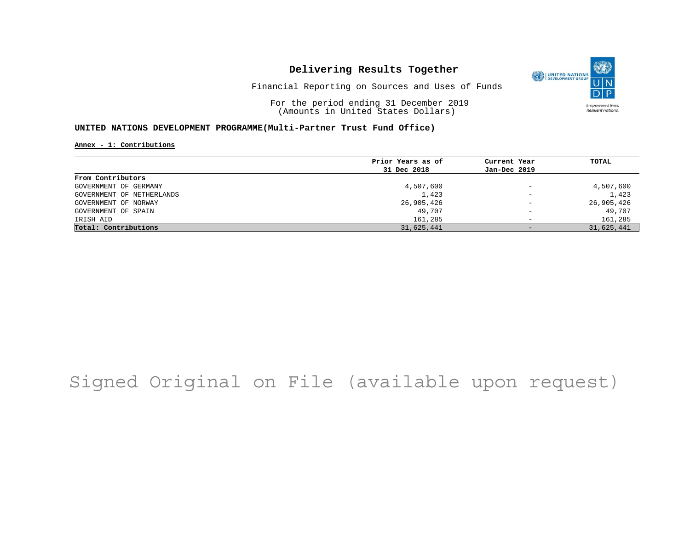

Financial Reporting on Sources and Uses of Funds

For the period ending 31 December 2019 (Amounts in United States Dollars)

### **UNITED NATIONS DEVELOPMENT PROGRAMME(Multi-Partner Trust Fund Office)**

**Annex - 1: Contributions**

|                           | Prior Years as of | Current Year             | TOTAL      |
|---------------------------|-------------------|--------------------------|------------|
|                           | 31 Dec 2018       | Jan-Dec 2019             |            |
| From Contributors         |                   |                          |            |
| GOVERNMENT OF GERMANY     | 4,507,600         | $\qquad \qquad -$        | 4,507,600  |
| GOVERNMENT OF NETHERLANDS | 1,423             | $\qquad \qquad -$        | 1,423      |
| GOVERNMENT OF NORWAY      | 26,905,426        | $\qquad \qquad -$        | 26,905,426 |
| GOVERNMENT OF SPAIN       | 49,707            | $\overline{\phantom{0}}$ | 49,707     |
| IRISH AID                 | 161,285           | $\overline{\phantom{0}}$ | 161,285    |
| Total: Contributions      | 31,625,441        | $-$                      | 31,625,441 |

## Signed Original on File (available upon request)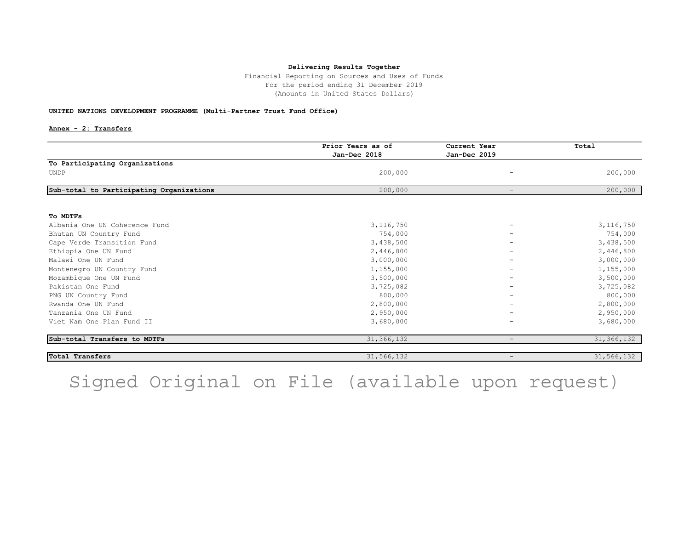Financial Reporting on Sources and Uses of Funds For the period ending 31 December 2019 (Amounts in United States Dollars)

#### **UNITED NATIONS DEVELOPMENT PROGRAMME (Multi-Partner Trust Fund Office)**

#### **Annex - 2: Transfers**

|                                          | Prior Years as of | Current Year      | Total        |
|------------------------------------------|-------------------|-------------------|--------------|
|                                          | Jan-Dec 2018      | Jan-Dec 2019      |              |
| To Participating Organizations           |                   |                   |              |
| <b>UNDP</b>                              | 200,000           |                   | 200,000      |
| Sub-total to Participating Organizations | 200,000           | $\qquad \qquad -$ | 200,000      |
| To MDTFs                                 |                   |                   |              |
| Albania One UN Coherence Fund            | 3, 116, 750       |                   | 3, 116, 750  |
| Bhutan UN Country Fund                   | 754,000           |                   | 754,000      |
| Cape Verde Transition Fund               | 3,438,500         |                   | 3,438,500    |
| Ethiopia One UN Fund                     | 2,446,800         |                   | 2,446,800    |
| Malawi One UN Fund                       | 3,000,000         |                   | 3,000,000    |
| Montenegro UN Country Fund               | 1,155,000         |                   | 1,155,000    |
| Mozambique One UN Fund                   | 3,500,000         |                   | 3,500,000    |
| Pakistan One Fund                        | 3,725,082         |                   | 3,725,082    |
| PNG UN Country Fund                      | 800,000           |                   | 800,000      |
| Rwanda One UN Fund                       | 2,800,000         |                   | 2,800,000    |
| Tanzania One UN Fund                     | 2,950,000         |                   | 2,950,000    |
| Viet Nam One Plan Fund II                | 3,680,000         | -                 | 3,680,000    |
| Sub-total Transfers to MDTFs             | 31, 366, 132      | $-$               | 31, 366, 132 |
| <b>Total Transfers</b>                   | 31,566,132        | $\qquad \qquad -$ | 31,566,132   |

Signed Original on File (available upon request)